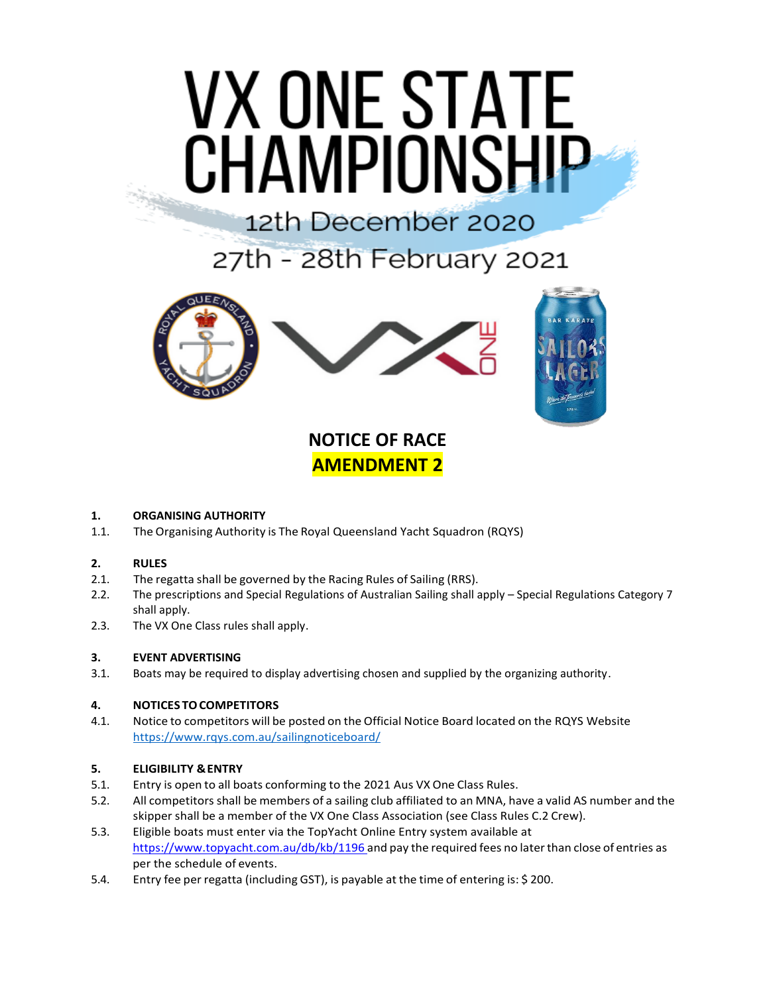# **VX ONE STATE CHAMPIONSHIP**

## 12th December 2020

27th - 28th February 2021



### **NOTICE OF RACE AMENDMENT 2**

#### **1. ORGANISING AUTHORITY**

1.1. The Organising Authority is The Royal Queensland Yacht Squadron (RQYS)

#### **2. RULES**

- 2.1. The regatta shall be governed by the Racing Rules of Sailing (RRS).
- 2.2. The prescriptions and Special Regulations of Australian Sailing shall apply Special Regulations Category 7 shall apply.
- 2.3. The VX One Class rules shall apply.

#### **3. EVENT ADVERTISING**

3.1. Boats may be required to display advertising chosen and supplied by the organizing authority.

#### **4. NOTICES TOCOMPETITORS**

4.1. Notice to competitors will be posted on the Official Notice Board located on the RQYS Website <https://www.rqys.com.au/sailingnoticeboard/>

#### **5. ELIGIBILITY &ENTRY**

- 5.1. Entry is open to all boats conforming to the 2021 Aus VX One Class Rules.
- 5.2. All competitors shall be members of a sailing club affiliated to an MNA, have a valid AS number and the skipper shall be a member of the VX One Class Association (see Class Rules C.2 Crew).
- 5.3. Eligible boats must enter via the TopYacht Online Entry system available at https:/[/www.topyacht.com.au/db/kb/1196](http://www.topyacht.com.au/db/kb/1196and) and pay the required fees no later than close of entries as per the schedule of events.
- 5.4. Entry fee per regatta (including GST), is payable at the time of entering is: \$ 200.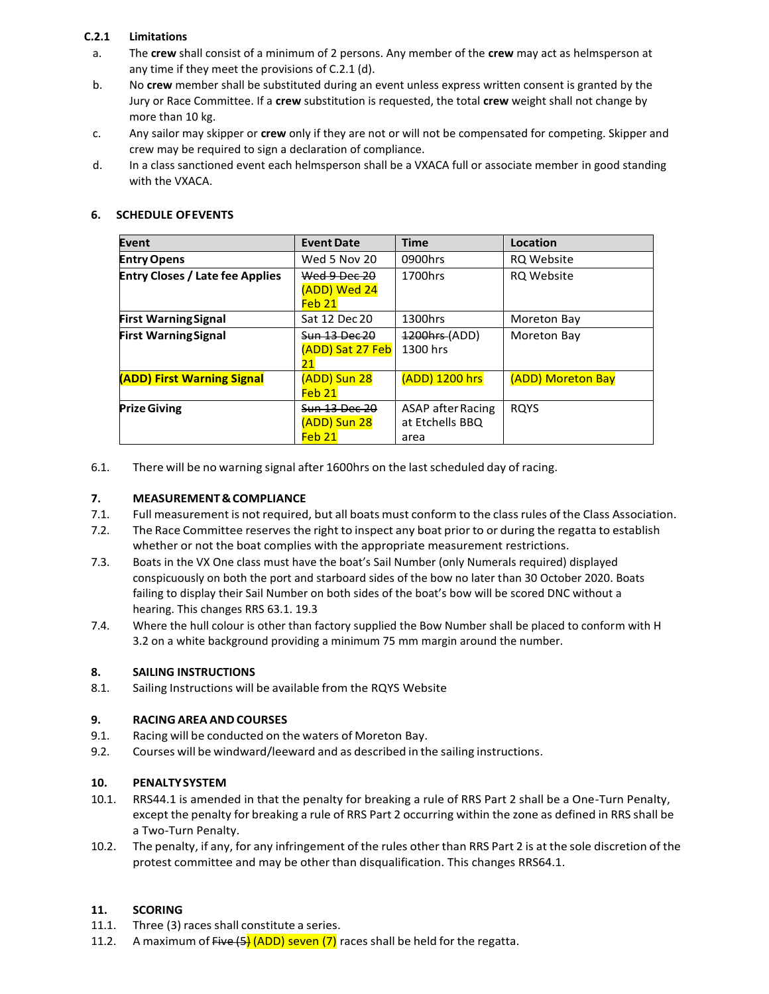#### **C.2.1 Limitations**

- a. The **crew** shall consist of a minimum of 2 persons. Any member of the **crew** may act as helmsperson at any time if they meet the provisions of C.2.1 (d).
- b. No **crew** member shall be substituted during an event unless express written consent is granted by the Jury or Race Committee. If a **crew** substitution is requested, the total **crew** weight shall not change by more than 10 kg.
- c. Any sailor may skipper or **crew** only if they are not or will not be compensated for competing. Skipper and crew may be required to sign a declaration of compliance.
- d. In a class sanctioned event each helmsperson shall be a VXACA full or associate member in good standing with the VXACA.

| Event                                  | <b>Event Date</b>    | <b>Time</b>              | Location                 |
|----------------------------------------|----------------------|--------------------------|--------------------------|
| <b>Entry Opens</b>                     | Wed 5 Nov 20         | 0900hrs                  | <b>RQ Website</b>        |
| <b>Entry Closes / Late fee Applies</b> | Wed 9 Dec 20         | 1700hrs                  | <b>RQ Website</b>        |
|                                        | (ADD) Wed 24         |                          |                          |
|                                        | Feb <sub>21</sub>    |                          |                          |
| <b>First Warning Signal</b>            | Sat 12 Dec 20        | 1300hrs                  | Moreton Bay              |
| <b>First Warning Signal</b>            | <b>Sun 13 Dec 20</b> | 1200hrs (ADD)            | Moreton Bay              |
|                                        | (ADD) Sat 27 Feb     | 1300 hrs                 |                          |
|                                        | 21                   |                          |                          |
| (ADD) First Warning Signal             | (ADD) Sun 28         | (ADD) 1200 hrs           | <b>(ADD) Moreton Bay</b> |
|                                        | Feb <sub>21</sub>    |                          |                          |
| <b>Prize Giving</b>                    | Sun 13 Dec 20        | <b>ASAP</b> after Racing | <b>ROYS</b>              |
|                                        | (ADD) Sun 28         | at Etchells BBQ          |                          |
|                                        | Feb 21               | area                     |                          |

6.1. There will be no warning signal after 1600hrs on the lastscheduled day of racing.

#### **7. MEASUREMENT&COMPLIANCE**

- 7.1. Full measurement is not required, but all boats must conform to the classrules ofthe Class Association.
- 7.2. The Race Committee reserves the right to inspect any boat prior to or during the regatta to establish whether or not the boat complies with the appropriate measurement restrictions.
- 7.3. Boats in the VX One class must have the boat's Sail Number (only Numerals required) displayed conspicuously on both the port and starboard sides of the bow no later than 30 October 2020. Boats failing to display their Sail Number on both sides of the boat's bow will be scored DNC without a hearing. This changes RRS 63.1. 19.3
- 7.4. Where the hull colour is other than factory supplied the Bow Number shall be placed to conform with H 3.2 on a white background providing a minimum 75 mm margin around the number.

#### **8. SAILING INSTRUCTIONS**

8.1. Sailing Instructions will be available from the RQYS Website

#### **9. RACING AREA ANDCOURSES**

- 9.1. Racing will be conducted on the waters of Moreton Bay.
- 9.2. Courses will be windward/leeward and as described in the sailing instructions.

#### **10. PENALTYSYSTEM**

- 10.1. RRS44.1 is amended in that the penalty for breaking a rule of RRS Part 2 shall be a One-Turn Penalty, except the penalty for breaking a rule of RRS Part 2 occurring within the zone as defined in RRS shall be a Two-Turn Penalty.
- 10.2. The penalty, if any, for any infringement of the rules other than RRS Part 2 is at the sole discretion of the protest committee and may be other than disqualification. This changes RRS64.1.

#### **11. SCORING**

- 11.1. Three (3) races shall constitute a series.
- 11.2. A maximum of  $Five (5)$  (ADD) seven (7) races shall be held for the regatta.